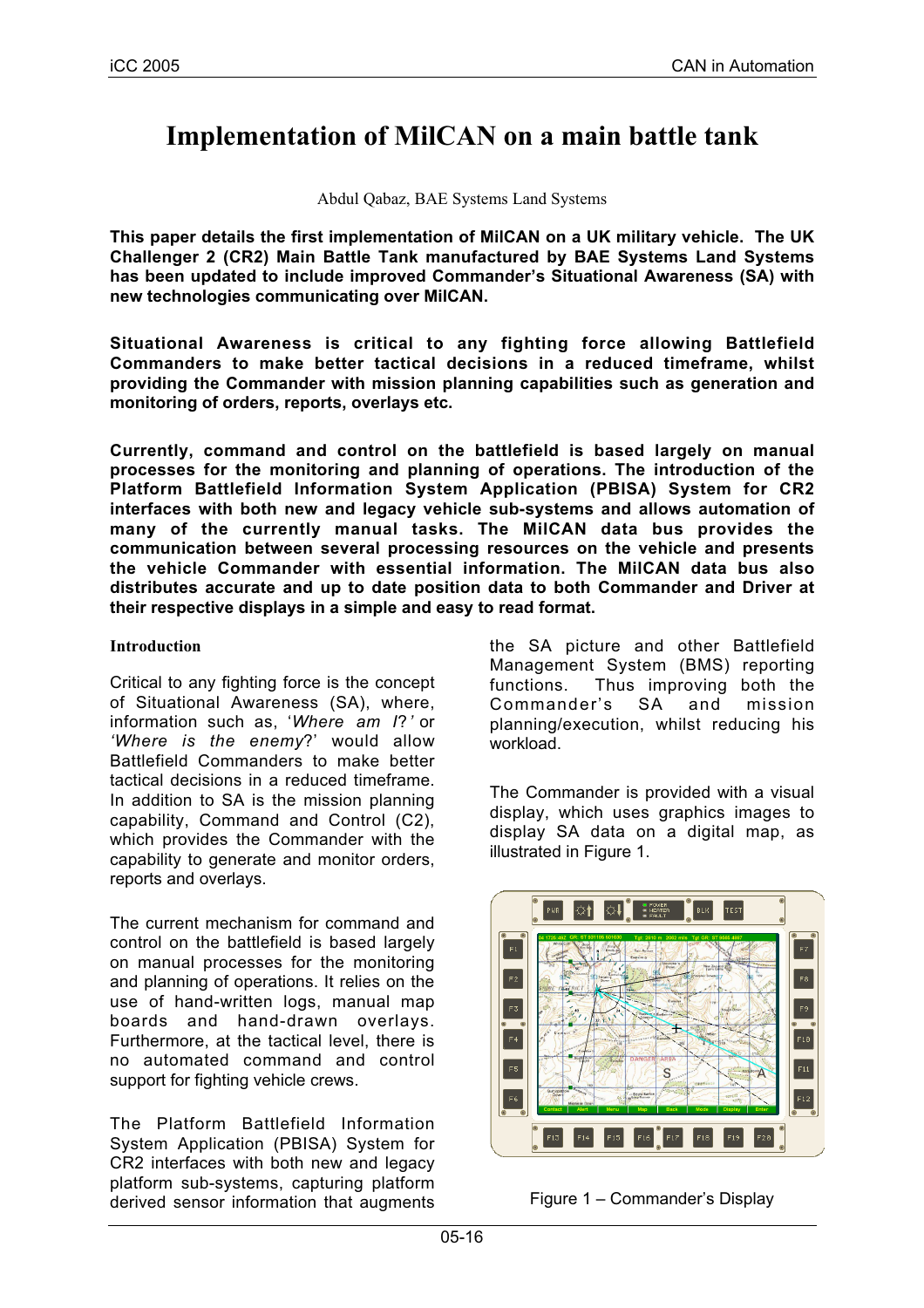# **Implementation of MilCAN on a main battle tank**

Abdul Qabaz, BAE Systems Land Systems

**This paper details the first implementation of MilCAN on a UK military vehicle. The UK Challenger 2 (CR2) Main Battle Tank manufactured by BAE Systems Land Systems has been updated to include improved Commander's Situational Awareness (SA) with new technologies communicating over MilCAN.**

**Situational Awareness is critical to any fighting force allowing Battlefield Commanders to make better tactical decisions in a reduced timeframe, whilst providing the Commander with mission planning capabilities such as generation and monitoring of orders, reports, overlays etc.**

**Currently, command and control on the battlefield is based largely on manual processes for the monitoring and planning of operations. The introduction of the Platform Battlefield Information System Application (PBISA) System for CR2 interfaces with both new and legacy vehicle sub-systems and allows automation of many of the currently manual tasks. The MilCAN data bus provides the communication between several processing resources on the vehicle and presents the vehicle Commander with essential information. The MilCAN data bus also distributes accurate and up to date position data to both Commander and Driver at their respective displays in a simple and easy to read format.**

#### **Introduction**

Critical to any fighting force is the concept of Situational Awareness (SA), where, information such as, '*Where am I*?*'* or *'Where is the enemy*?' would allow Battlefield Commanders to make better tactical decisions in a reduced timeframe. In addition to SA is the mission planning capability, Command and Control (C2), which provides the Commander with the capability to generate and monitor orders, reports and overlays.

The current mechanism for command and control on the battlefield is based largely on manual processes for the monitoring and planning of operations. It relies on the use of hand-written logs, manual map boards and hand-drawn overlays. Furthermore, at the tactical level, there is no automated command and control support for fighting vehicle crews.

The Platform Battlefield Information System Application (PBISA) System for CR2 interfaces with both new and legacy platform sub-systems, capturing platform derived sensor information that augments

the SA picture and other Battlefield Management System (BMS) reporting functions. Thus improving both the Commander's SA and mission planning/execution, whilst reducing his workload.

The Commander is provided with a visual display, which uses graphics images to display SA data on a digital map, as illustrated in Figure 1.



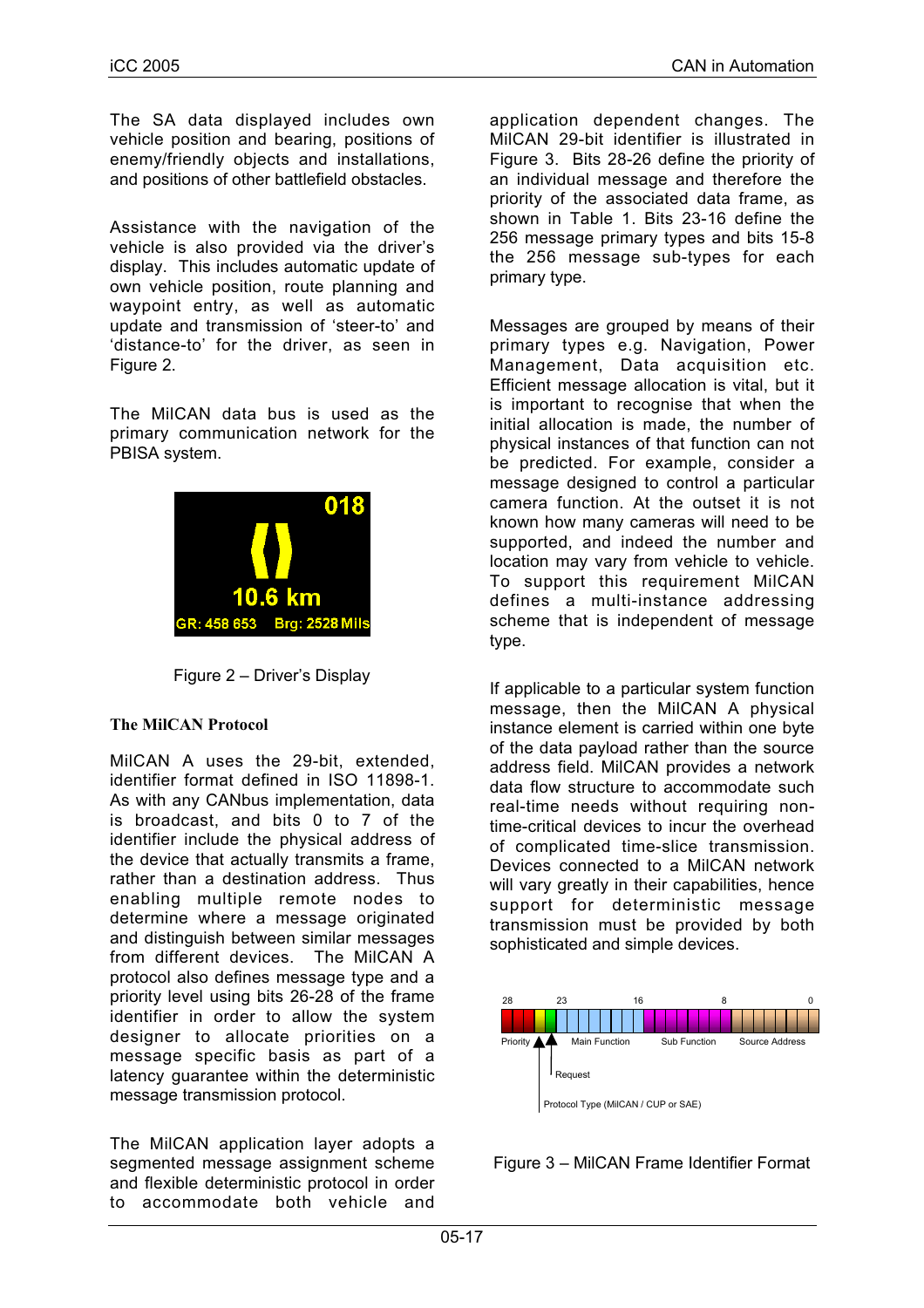The SA data displayed includes own vehicle position and bearing, positions of enemy/friendly objects and installations, and positions of other battlefield obstacles.

Assistance with the navigation of the vehicle is also provided via the driver's display. This includes automatic update of own vehicle position, route planning and waypoint entry, as well as automatic update and transmission of 'steer-to' and 'distance-to' for the driver, as seen in Figure 2.

The MilCAN data bus is used as the primary communication network for the PBISA system.



Figure 2 – Driver's Display

#### **The MilCAN Protocol**

MilCAN A uses the 29-bit, extended, identifier format defined in ISO 11898-1. As with any CANbus implementation, data is broadcast, and bits 0 to 7 of the identifier include the physical address of the device that actually transmits a frame, rather than a destination address. Thus enabling multiple remote nodes to determine where a message originated and distinguish between similar messages from different devices. The MilCAN A protocol also defines message type and a priority level using bits 26-28 of the frame identifier in order to allow the system designer to allocate priorities on a message specific basis as part of a latency guarantee within the deterministic message transmission protocol.

The MilCAN application layer adopts a segmented message assignment scheme and flexible deterministic protocol in order to accommodate both vehicle and

application dependent changes. The MilCAN 29-bit identifier is illustrated in Figure 3. Bits 28-26 define the priority of an individual message and therefore the priority of the associated data frame, as shown in Table 1. Bits 23-16 define the 256 message primary types and bits 15-8 the 256 message sub-types for each primary type.

Messages are grouped by means of their primary types e.g. Navigation, Power Management, Data acquisition etc. Efficient message allocation is vital, but it is important to recognise that when the initial allocation is made, the number of physical instances of that function can not be predicted. For example, consider a message designed to control a particular camera function. At the outset it is not known how many cameras will need to be supported, and indeed the number and location may vary from vehicle to vehicle. To support this requirement MilCAN defines a multi-instance addressing scheme that is independent of message type.

If applicable to a particular system function message, then the MilCAN A physical instance element is carried within one byte of the data payload rather than the source address field. MilCAN provides a network data flow structure to accommodate such real-time needs without requiring nontime-critical devices to incur the overhead of complicated time-slice transmission. Devices connected to a MilCAN network will vary greatly in their capabilities, hence support for deterministic message transmission must be provided by both sophisticated and simple devices.



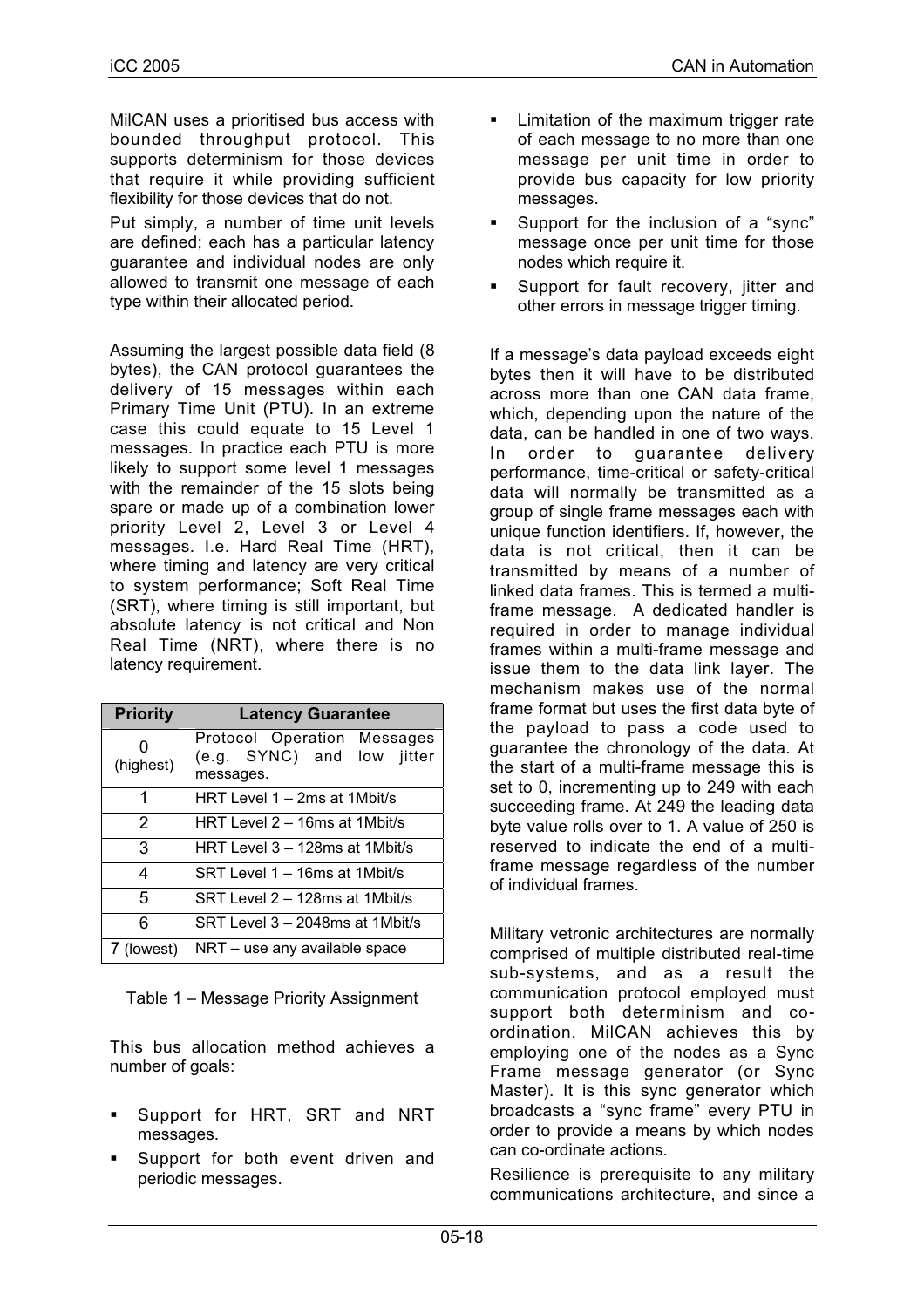MilCAN uses a prioritised bus access with bounded throughput protocol. This supports determinism for those devices that require it while providing sufficient flexibility for those devices that do not.

Put simply, a number of time unit levels are defined; each has a particular latency guarantee and individual nodes are only allowed to transmit one message of each type within their allocated period.

Assuming the largest possible data field (8 bytes), the CAN protocol guarantees the delivery of 15 messages within each Primary Time Unit (PTU). In an extreme case this could equate to 15 Level 1 messages. In practice each PTU is more likely to support some level 1 messages with the remainder of the 15 slots being spare or made up of a combination lower priority Level 2, Level 3 or Level 4 messages. I.e. Hard Real Time (HRT), where timing and latency are very critical to system performance; Soft Real Time (SRT), where timing is still important, but absolute latency is not critical and Non Real Time (NRT), where there is no latency requirement.

| <b>Priority</b> | <b>Latency Guarantee</b>                                               |  |  |  |  |
|-----------------|------------------------------------------------------------------------|--|--|--|--|
| (highest)       | Protocol Operation Messages<br>(e.g. SYNC) and low jitter<br>messages. |  |  |  |  |
| 1               | HRT Level 1 - 2ms at 1Mbit/s                                           |  |  |  |  |
| 2               | HRT Level 2 – 16ms at 1Mbit/s                                          |  |  |  |  |
| 3               | HRT Level 3 – 128ms at 1Mbit/s                                         |  |  |  |  |
| 4               | SRT Level 1 – 16ms at 1Mbit/s                                          |  |  |  |  |
| 5               | SRT Level 2 – 128ms at 1Mbit/s                                         |  |  |  |  |
| ิค              | SRT Level 3 - 2048ms at 1Mbit/s                                        |  |  |  |  |
| 7 (lowest)      | NRT - use any available space                                          |  |  |  |  |

Table 1 – Message Priority Assignment

This bus allocation method achieves a number of goals:

- Support for HRT, SRT and NRT messages.
- Support for both event driven and periodic messages.
- **EXEC** Limitation of the maximum trigger rate of each message to no more than one message per unit time in order to provide bus capacity for low priority messages.
- Support for the inclusion of a "sync" message once per unit time for those nodes which require it.
- **Support for fault recovery, jitter and** other errors in message trigger timing.

If a message's data payload exceeds eight bytes then it will have to be distributed across more than one CAN data frame, which, depending upon the nature of the data, can be handled in one of two ways. In order to guarantee delivery performance, time-critical or safety-critical data will normally be transmitted as a group of single frame messages each with unique function identifiers. If, however, the data is not critical, then it can be transmitted by means of a number of linked data frames. This is termed a multiframe message. A dedicated handler is required in order to manage individual frames within a multi-frame message and issue them to the data link layer. The mechanism makes use of the normal frame format but uses the first data byte of the payload to pass a code used to guarantee the chronology of the data. At the start of a multi-frame message this is set to 0, incrementing up to 249 with each succeeding frame. At 249 the leading data byte value rolls over to 1. A value of 250 is reserved to indicate the end of a multiframe message regardless of the number of individual frames.

Military vetronic architectures are normally comprised of multiple distributed real-time sub-systems, and as a result the communication protocol employed must support both determinism and coordination. MilCAN achieves this by employing one of the nodes as a Sync Frame message generator (or Sync Master). It is this sync generator which broadcasts a "sync frame" every PTU in order to provide a means by which nodes can co-ordinate actions.

Resilience is prerequisite to any military communications architecture, and since a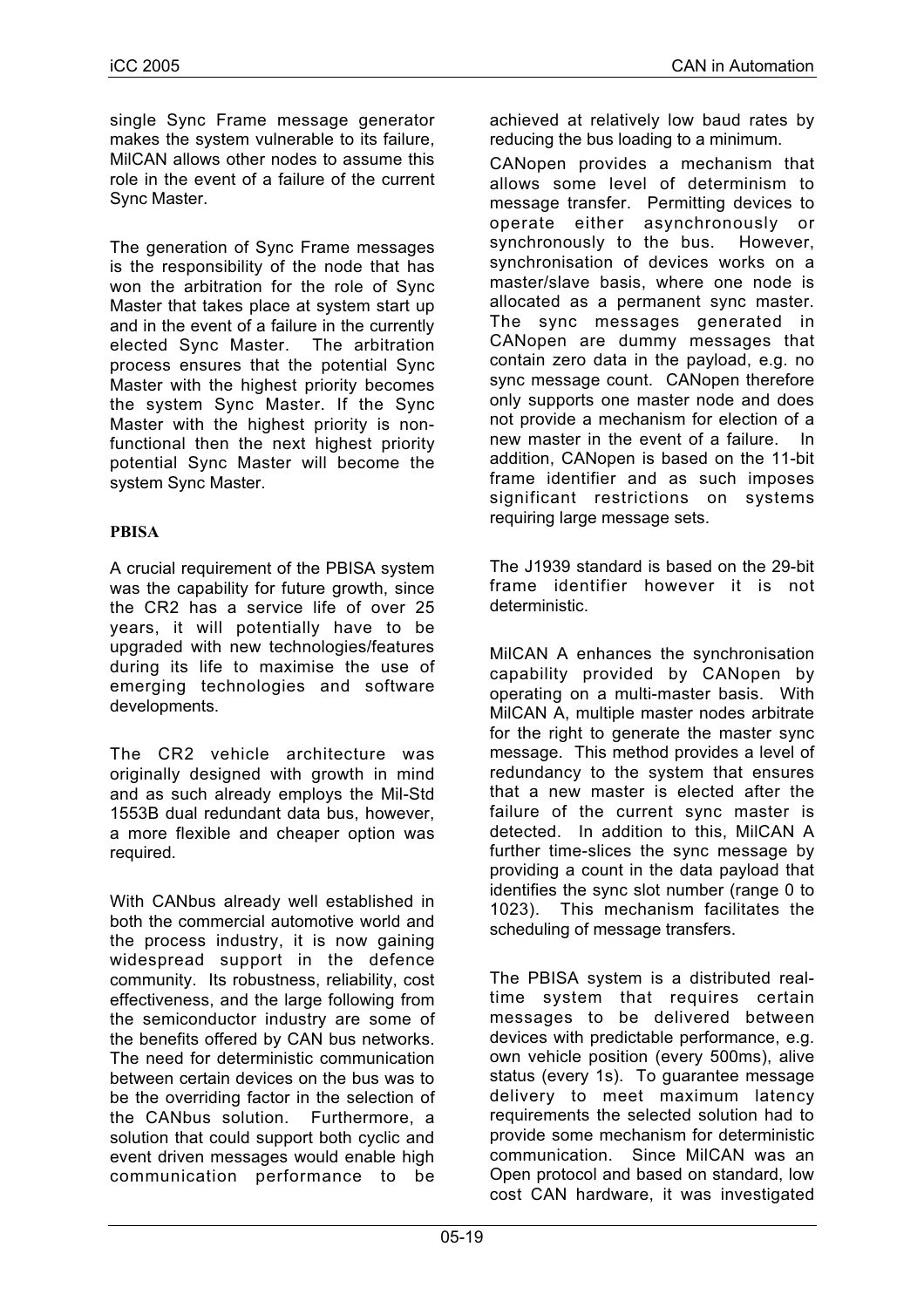single Sync Frame message generator makes the system vulnerable to its failure, MilCAN allows other nodes to assume this role in the event of a failure of the current Sync Master.

The generation of Sync Frame messages is the responsibility of the node that has won the arbitration for the role of Sync Master that takes place at system start up and in the event of a failure in the currently elected Sync Master. The arbitration process ensures that the potential Sync Master with the highest priority becomes the system Sync Master. If the Sync Master with the highest priority is nonfunctional then the next highest priority potential Sync Master will become the system Sync Master.

## **PBISA**

A crucial requirement of the PBISA system was the capability for future growth, since the CR2 has a service life of over 25 years, it will potentially have to be upgraded with new technologies/features during its life to maximise the use of emerging technologies and software developments.

The CR2 vehicle architecture was originally designed with growth in mind and as such already employs the Mil-Std 1553B dual redundant data bus, however, a more flexible and cheaper option was required.

With CANbus already well established in both the commercial automotive world and the process industry, it is now gaining widespread support in the defence community. Its robustness, reliability, cost effectiveness, and the large following from the semiconductor industry are some of the benefits offered by CAN bus networks. The need for deterministic communication between certain devices on the bus was to be the overriding factor in the selection of the CANbus solution. Furthermore, a solution that could support both cyclic and event driven messages would enable high communication performance to be

achieved at relatively low baud rates by reducing the bus loading to a minimum.

CANopen provides a mechanism that allows some level of determinism to message transfer. Permitting devices to operate either asynchronously or synchronously to the bus. However, synchronisation of devices works on a master/slave basis, where one node is allocated as a permanent sync master. The sync messages generated in CANopen are dummy messages that contain zero data in the payload, e.g. no sync message count. CANopen therefore only supports one master node and does not provide a mechanism for election of a new master in the event of a failure. In addition, CANopen is based on the 11-bit frame identifier and as such imposes significant restrictions on systems requiring large message sets.

The J1939 standard is based on the 29-bit frame identifier however it is not deterministic.

MilCAN A enhances the synchronisation capability provided by CANopen by operating on a multi-master basis. With MilCAN A, multiple master nodes arbitrate for the right to generate the master sync message. This method provides a level of redundancy to the system that ensures that a new master is elected after the failure of the current sync master is detected. In addition to this, MilCAN A further time-slices the sync message by providing a count in the data payload that identifies the sync slot number (range 0 to 1023). This mechanism facilitates the scheduling of message transfers.

The PBISA system is a distributed realtime system that requires certain messages to be delivered between devices with predictable performance, e.g. own vehicle position (every 500ms), alive status (every 1s). To guarantee message delivery to meet maximum latency requirements the selected solution had to provide some mechanism for deterministic communication. Since MilCAN was an Open protocol and based on standard, low cost CAN hardware, it was investigated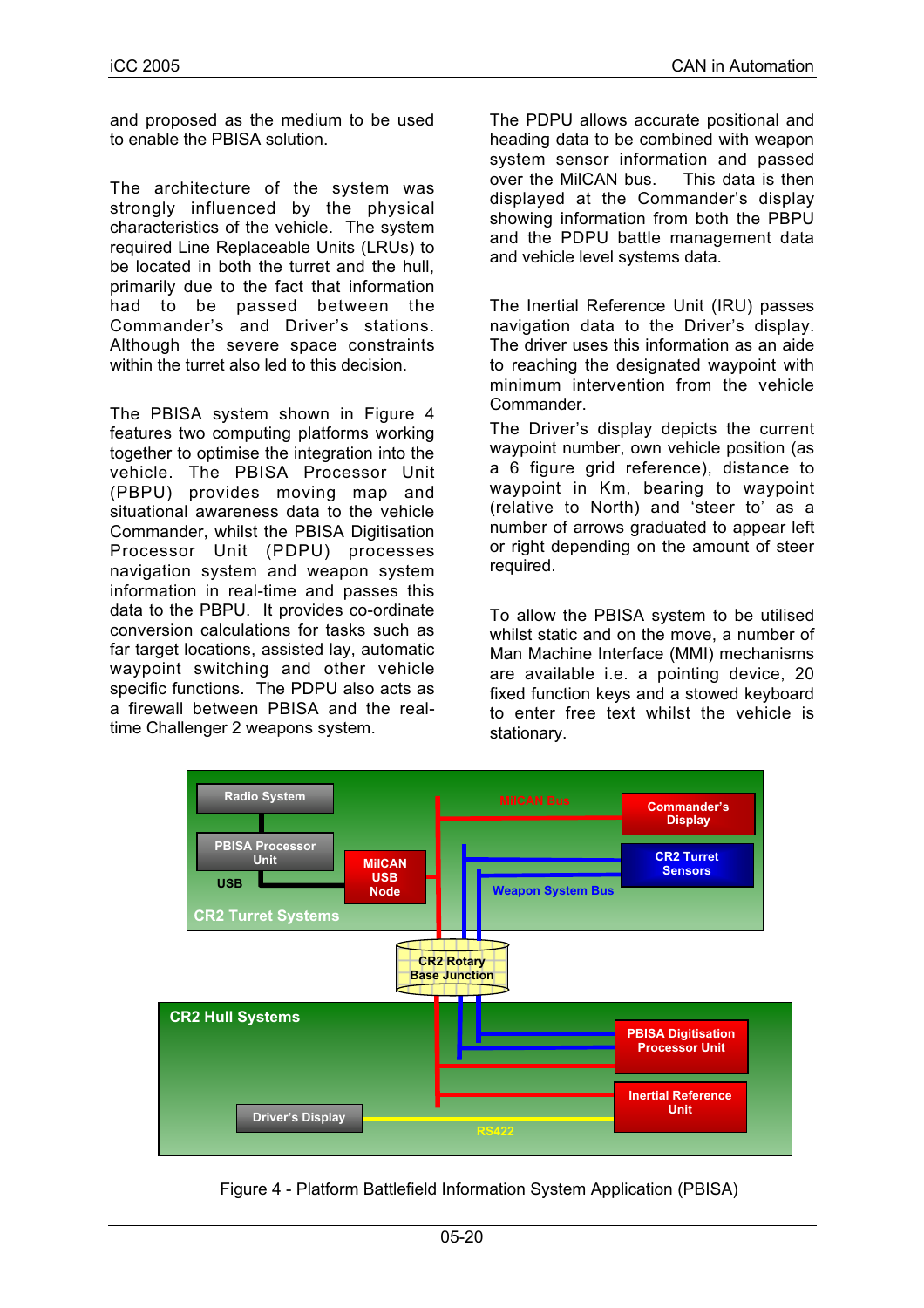and proposed as the medium to be used to enable the PBISA solution.

The architecture of the system was strongly influenced by the physical characteristics of the vehicle. The system required Line Replaceable Units (LRUs) to be located in both the turret and the hull, primarily due to the fact that information had to be passed between the Commander's and Driver's stations. Although the severe space constraints within the turret also led to this decision.

The PBISA system shown in Figure 4 features two computing platforms working together to optimise the integration into the vehicle. The PBISA Processor Unit (PBPU) provides moving map and situational awareness data to the vehicle Commander, whilst the PBISA Digitisation Processor Unit (PDPU) processes navigation system and weapon system information in real-time and passes this data to the PBPU. It provides co-ordinate conversion calculations for tasks such as far target locations, assisted lay, automatic waypoint switching and other vehicle specific functions. The PDPU also acts as a firewall between PBISA and the realtime Challenger 2 weapons system.

The PDPU allows accurate positional and heading data to be combined with weapon system sensor information and passed over the MilCAN bus. This data is then displayed at the Commander's display showing information from both the PBPU and the PDPU battle management data and vehicle level systems data.

The Inertial Reference Unit (IRU) passes navigation data to the Driver's display. The driver uses this information as an aide to reaching the designated waypoint with minimum intervention from the vehicle **Commander** 

The Driver's display depicts the current waypoint number, own vehicle position (as a 6 figure grid reference), distance to waypoint in Km, bearing to waypoint (relative to North) and 'steer to' as a number of arrows graduated to appear left or right depending on the amount of steer required.

To allow the PBISA system to be utilised whilst static and on the move, a number of Man Machine Interface (MMI) mechanisms are available i.e. a pointing device, 20 fixed function keys and a stowed keyboard to enter free text whilst the vehicle is stationary.



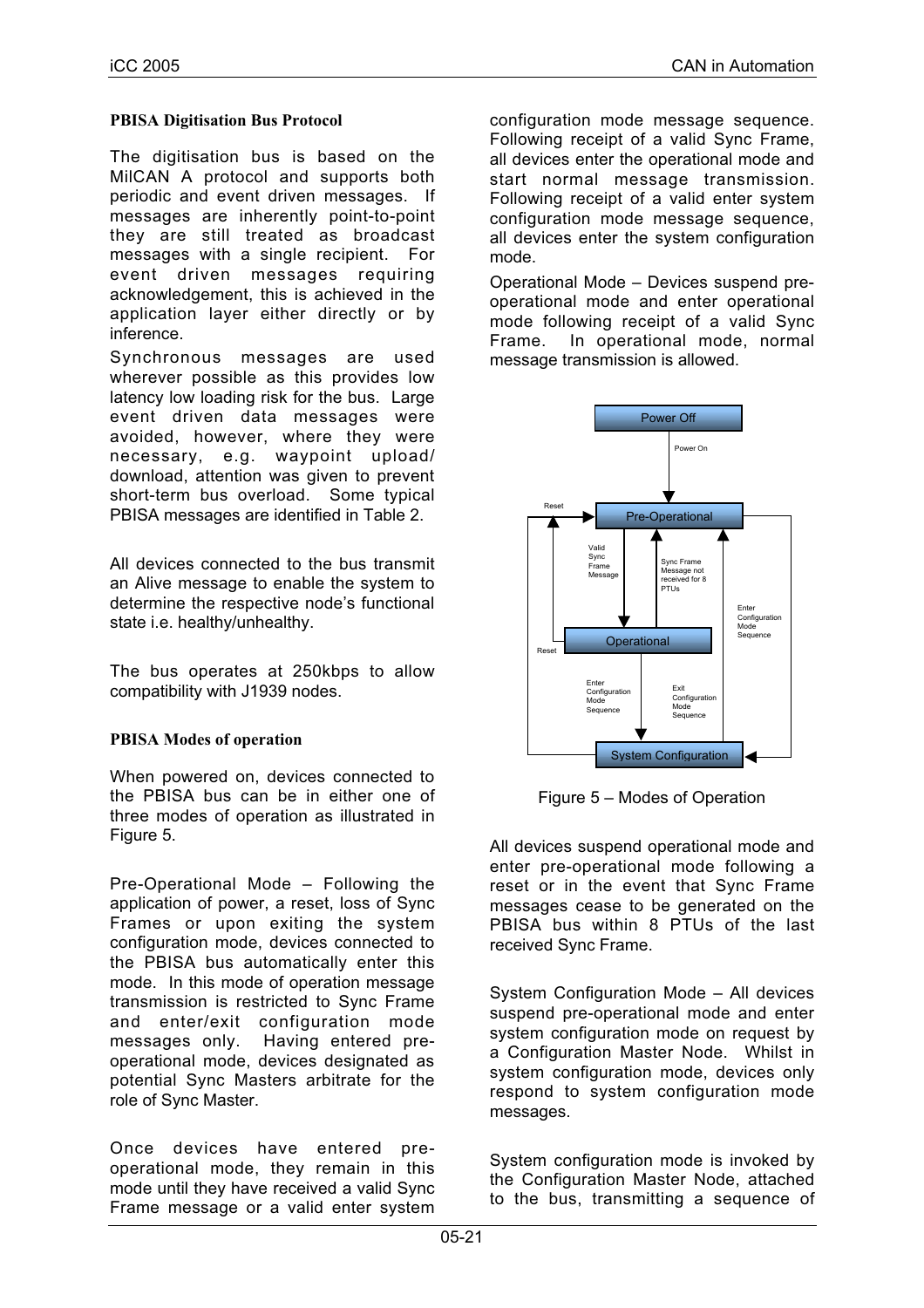#### **PBISA Digitisation Bus Protocol**

The digitisation bus is based on the MilCAN A protocol and supports both periodic and event driven messages. If messages are inherently point-to-point they are still treated as broadcast messages with a single recipient. For event driven messages requiring acknowledgement, this is achieved in the application layer either directly or by inference.

Synchronous messages are used wherever possible as this provides low latency low loading risk for the bus. Large event driven data messages were avoided, however, where they were necessary, e.g. waypoint upload/ download, attention was given to prevent short-term bus overload. Some typical PBISA messages are identified in Table 2.

All devices connected to the bus transmit an Alive message to enable the system to determine the respective node's functional state i.e. healthy/unhealthy.

The bus operates at 250kbps to allow compatibility with J1939 nodes.

#### **PBISA Modes of operation**

When powered on, devices connected to the PBISA bus can be in either one of three modes of operation as illustrated in Figure 5.

Pre-Operational Mode – Following the application of power, a reset, loss of Sync Frames or upon exiting the system configuration mode, devices connected to the PBISA bus automatically enter this mode. In this mode of operation message transmission is restricted to Sync Frame and enter/exit configuration mode messages only. Having entered preoperational mode, devices designated as potential Sync Masters arbitrate for the role of Sync Master.

Once devices have entered preoperational mode, they remain in this mode until they have received a valid Sync Frame message or a valid enter system

configuration mode message sequence. Following receipt of a valid Sync Frame, all devices enter the operational mode and start normal message transmission. Following receipt of a valid enter system configuration mode message sequence, all devices enter the system configuration mode.

Operational Mode – Devices suspend preoperational mode and enter operational mode following receipt of a valid Sync Frame. In operational mode, normal message transmission is allowed.



Figure 5 – Modes of Operation

All devices suspend operational mode and enter pre-operational mode following a reset or in the event that Sync Frame messages cease to be generated on the PBISA bus within 8 PTUs of the last received Sync Frame.

System Configuration Mode – All devices suspend pre-operational mode and enter system configuration mode on request by a Configuration Master Node. Whilst in system configuration mode, devices only respond to system configuration mode messages.

System configuration mode is invoked by the Configuration Master Node, attached to the bus, transmitting a sequence of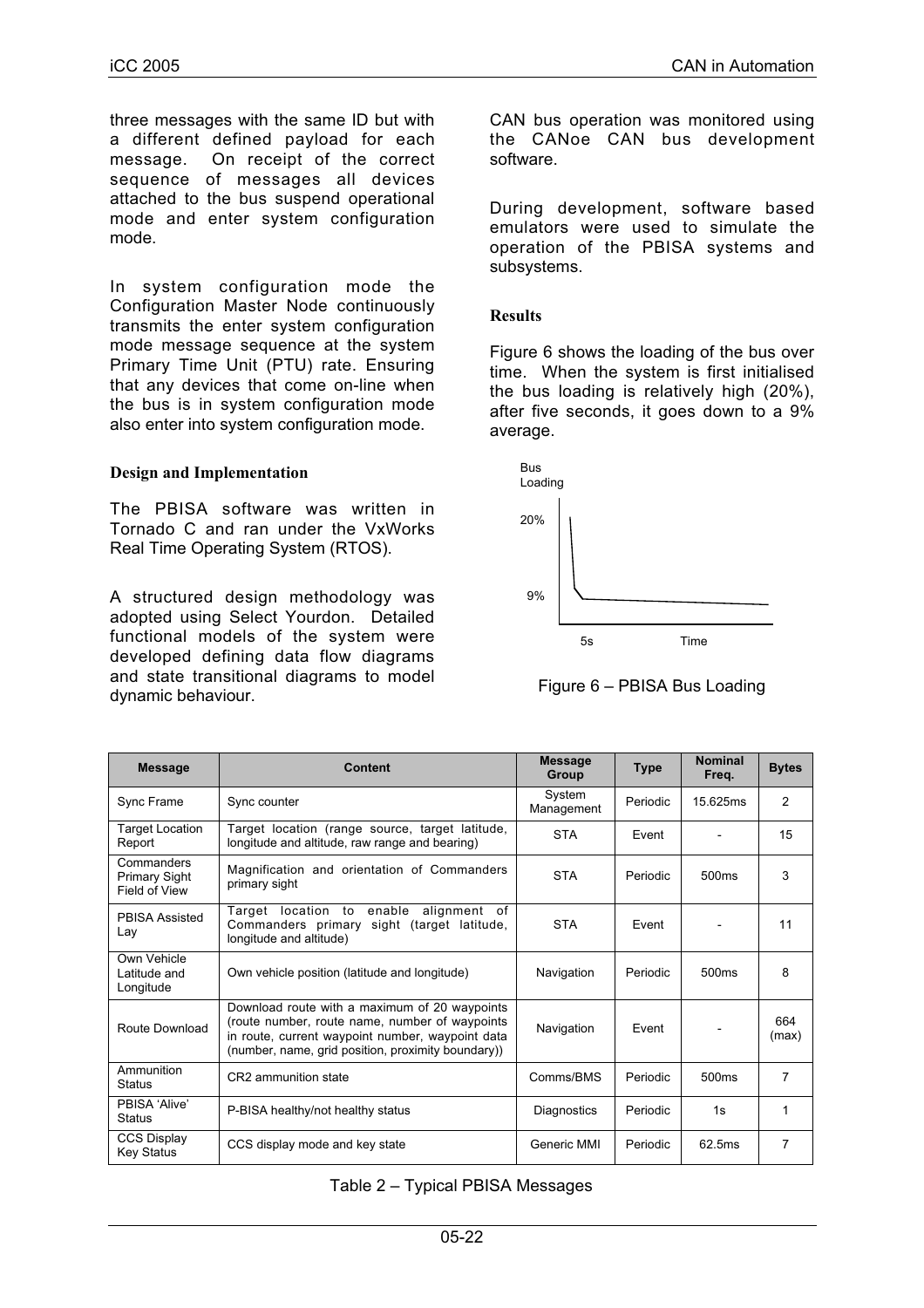three messages with the same ID but with a different defined payload for each message. On receipt of the correct sequence of messages all devices attached to the bus suspend operational mode and enter system configuration mode.

In system configuration mode the Configuration Master Node continuously transmits the enter system configuration mode message sequence at the system Primary Time Unit (PTU) rate. Ensuring that any devices that come on-line when the bus is in system configuration mode also enter into system configuration mode.

#### **Design and Implementation**

The PBISA software was written in Tornado C and ran under the VxWorks Real Time Operating System (RTOS).

A structured design methodology was adopted using Select Yourdon. Detailed functional models of the system were developed defining data flow diagrams and state transitional diagrams to model dynamic behaviour.

CAN bus operation was monitored using the CANoe CAN bus development software.

During development, software based emulators were used to simulate the operation of the PBISA systems and subsystems.

#### **Results**

Figure 6 shows the loading of the bus over time. When the system is first initialised the bus loading is relatively high (20%), after five seconds, it goes down to a 9% average.



Figure 6 – PBISA Bus Loading

| <b>Message</b>                                      | Content                                                                                                                                                                                                   | <b>Message</b><br>Group | <b>Type</b> | <b>Nominal</b><br>Freq. | <b>Bytes</b>   |
|-----------------------------------------------------|-----------------------------------------------------------------------------------------------------------------------------------------------------------------------------------------------------------|-------------------------|-------------|-------------------------|----------------|
| Sync Frame                                          | Sync counter                                                                                                                                                                                              | System<br>Management    | Periodic    | 15.625ms                | $\overline{2}$ |
| <b>Target Location</b><br>Report                    | Target location (range source, target latitude,<br>longitude and altitude, raw range and bearing)                                                                                                         | <b>STA</b>              | Fvent       |                         | 15             |
| Commanders<br><b>Primary Sight</b><br>Field of View | Magnification and orientation of Commanders<br>primary sight                                                                                                                                              | <b>STA</b>              | Periodic    | 500ms                   | 3              |
| <b>PBISA Assisted</b><br>Lay                        | Target location to enable<br>alignment<br>of<br>Commanders primary sight (target latitude,<br>longitude and altitude)                                                                                     | <b>STA</b>              | Event       |                         | 11             |
| Own Vehicle<br>Latitude and<br>Longitude            | Own vehicle position (latitude and longitude)                                                                                                                                                             | Navigation              | Periodic    | 500 <sub>ms</sub>       | 8              |
| Route Download                                      | Download route with a maximum of 20 waypoints<br>(route number, route name, number of waypoints<br>in route, current waypoint number, waypoint data<br>(number, name, grid position, proximity boundary)) | Navigation              | Event       |                         | 664<br>(max)   |
| Ammunition<br><b>Status</b>                         | CR2 ammunition state                                                                                                                                                                                      | Comms/BMS               | Periodic    | 500 <sub>ms</sub>       | 7              |
| PBISA 'Alive'<br><b>Status</b>                      | P-BISA healthy/not healthy status                                                                                                                                                                         | Diagnostics             | Periodic    | 1s                      | 1              |
| <b>CCS Display</b><br><b>Key Status</b>             | CCS display mode and key state                                                                                                                                                                            | Generic MMI             | Periodic    | 62.5ms                  | 7              |

Table 2 – Typical PBISA Messages